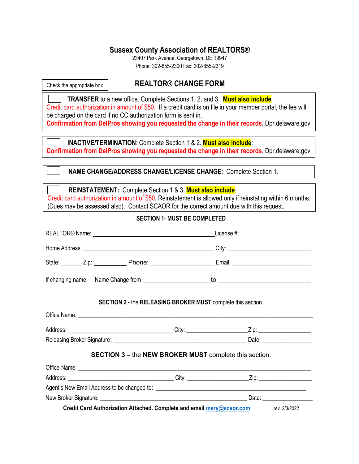## **Sussex County Association of REALTORS®**

23407 Park Avenue, Georgetown, DE 19947 Phone: 302-855-2300 Fax: 302-855-2319

Check the appropriate box

## **REALTOR® CHANGE FORM**

 **TRANSFER** to a new office. Complete Sections 1, 2, and 3. **Must also include**: Credit card authorization in amount of \$50. If a credit card is on file in your member portal, the fee will be charged on the card if no CC authorization form is sent in. **Confirmation from DelPros showing you requested the change in their records**. Dpr.delaware.gov

 **INACTIVE/TERMINATION**: Complete Section 1 & 2. **Must also include**: **Confirmation from DelPros showing you requested the change in their records**. Dpr.delaware.gov

 **NAME CHANGE/ADDRESS CHANGE/LICENSE CHANGE**: Complete Section 1.

| <b>REINSTATEMENT:</b> Complete Section 1 & 3. <b>Must also include</b> :                                   |
|------------------------------------------------------------------------------------------------------------|
| Credit card authorization in amount of \$50. Reinstatement is allowed only if reinstating within 6 months. |
| (Dues may be assessed also). Contact SCAOR for the correct amount due with this request.                   |

## **SECTION 1**- **MUST BE COMPLETED**

|                                                                                     |  | SECTION 2 - the RELEASING BROKER MUST complete this section.  |  |
|-------------------------------------------------------------------------------------|--|---------------------------------------------------------------|--|
|                                                                                     |  |                                                               |  |
|                                                                                     |  |                                                               |  |
|                                                                                     |  |                                                               |  |
|                                                                                     |  | <b>SECTION 3 - the NEW BROKER MUST complete this section.</b> |  |
|                                                                                     |  |                                                               |  |
|                                                                                     |  |                                                               |  |
|                                                                                     |  |                                                               |  |
|                                                                                     |  |                                                               |  |
| Credit Card Authorization Attached. Complete and email mary@scaor.com rev. 2/3/2022 |  |                                                               |  |